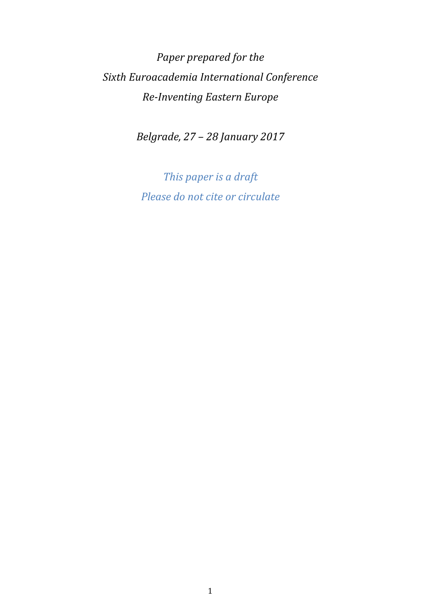*Paper prepared for the Sixth Euroacademia International Conference Re-Inventing Eastern Europe* 

*Belgrade, 27 – 28 January 2017* 

*This paper is a draft Please do not cite or circulate*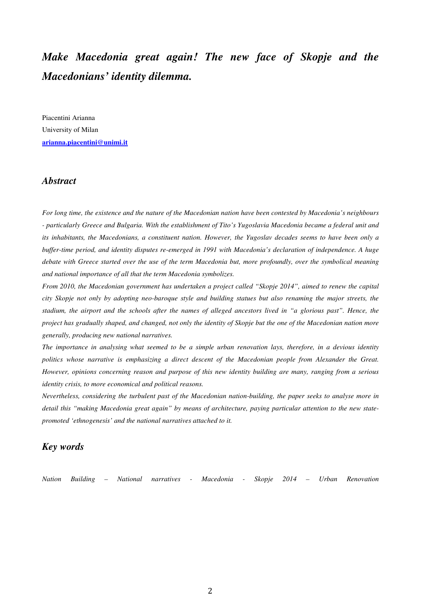# *Make Macedonia great again! The new face of Skopje and the Macedonians' identity dilemma.*

Piacentini Arianna University of Milan **arianna.piacentini@unimi.it**

#### *Abstract*

*For long time, the existence and the nature of the Macedonian nation have been contested by Macedonia's neighbours - particularly Greece and Bulgaria. With the establishment of Tito's Yugoslavia Macedonia became a federal unit and its inhabitants, the Macedonians, a constituent nation. However, the Yugoslav decades seems to have been only a buffer-time period, and identity disputes re-emerged in 1991 with Macedonia's declaration of independence. A huge debate with Greece started over the use of the term Macedonia but, more profoundly, over the symbolical meaning and national importance of all that the term Macedonia symbolizes.* 

*From 2010, the Macedonian government has undertaken a project called "Skopje 2014", aimed to renew the capital city Skopje not only by adopting neo-baroque style and building statues but also renaming the major streets, the stadium, the airport and the schools after the names of alleged ancestors lived in "a glorious past". Hence, the project has gradually shaped, and changed, not only the identity of Skopje but the one of the Macedonian nation more generally, producing new national narratives.* 

*The importance in analysing what seemed to be a simple urban renovation lays, therefore, in a devious identity politics whose narrative is emphasizing a direct descent of the Macedonian people from Alexander the Great. However, opinions concerning reason and purpose of this new identity building are many, ranging from a serious identity crisis, to more economical and political reasons.* 

*Nevertheless, considering the turbulent past of the Macedonian nation-building, the paper seeks to analyse more in detail this "making Macedonia great again" by means of architecture, paying particular attention to the new statepromoted 'ethnogenesis' and the national narratives attached to it.* 

#### *Key words*

*Nation Building – National narratives - Macedonia - Skopje 2014 – Urban Renovation*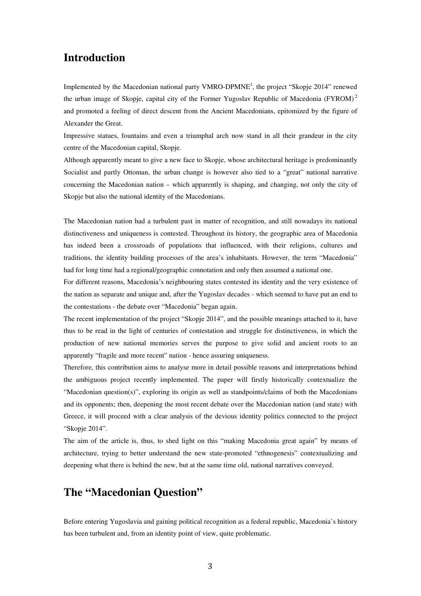## **Introduction**

Implemented by the Macedonian national party VMRO-DPMNE<sup>1</sup>, the project "Skopje 2014" renewed the urban image of Skopje, capital city of the Former Yugoslav Republic of Macedonia (FYROM)<sup>2</sup> and promoted a feeling of direct descent from the Ancient Macedonians, epitomized by the figure of Alexander the Great.

Impressive statues, fountains and even a triumphal arch now stand in all their grandeur in the city centre of the Macedonian capital, Skopje.

Although apparently meant to give a new face to Skopje, whose architectural heritage is predominantly Socialist and partly Ottoman, the urban change is however also tied to a "great" national narrative concerning the Macedonian nation – which apparently is shaping, and changing, not only the city of Skopje but also the national identity of the Macedonians.

The Macedonian nation had a turbulent past in matter of recognition, and still nowadays its national distinctiveness and uniqueness is contested. Throughout its history, the geographic area of Macedonia has indeed been a crossroads of populations that influenced, with their religions, cultures and traditions, the identity building processes of the area's inhabitants. However, the term "Macedonia" had for long time had a regional/geographic connotation and only then assumed a national one.

For different reasons, Macedonia's neighbouring states contested its identity and the very existence of the nation as separate and unique and, after the Yugoslav decades - which seemed to have put an end to the contestations - the debate over "Macedonia" began again.

The recent implementation of the project "Skopje 2014", and the possible meanings attached to it, have thus to be read in the light of centuries of contestation and struggle for distinctiveness, in which the production of new national memories serves the purpose to give solid and ancient roots to an apparently "fragile and more recent" nation - hence assuring uniqueness.

Therefore, this contribution aims to analyse more in detail possible reasons and interpretations behind the ambiguous project recently implemented. The paper will firstly historically contextualize the "Macedonian question(s)", exploring its origin as well as standpoints/claims of both the Macedonians and its opponents; then, deepening the most recent debate over the Macedonian nation (and state) with Greece, it will proceed with a clear analysis of the devious identity politics connected to the project "Skopje 2014".

The aim of the article is, thus, to shed light on this "making Macedonia great again" by means of architecture, trying to better understand the new state-promoted "ethnogenesis" contextualizing and deepening what there is behind the new, but at the same time old, national narratives conveyed.

# **The "Macedonian Question"**

Before entering Yugoslavia and gaining political recognition as a federal republic, Macedonia's history has been turbulent and, from an identity point of view, quite problematic.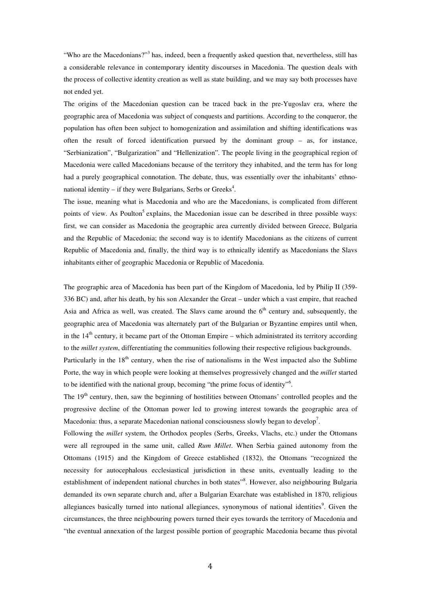"Who are the Macedonians?"<sup>3</sup> has, indeed, been a frequently asked question that, nevertheless, still has a considerable relevance in contemporary identity discourses in Macedonia. The question deals with the process of collective identity creation as well as state building, and we may say both processes have not ended yet.

The origins of the Macedonian question can be traced back in the pre-Yugoslav era, where the geographic area of Macedonia was subject of conquests and partitions. According to the conqueror, the population has often been subject to homogenization and assimilation and shifting identifications was often the result of forced identification pursued by the dominant group – as, for instance, "Serbianization", "Bulgarization" and "Hellenization". The people living in the geographical region of Macedonia were called Macedonians because of the territory they inhabited, and the term has for long had a purely geographical connotation. The debate, thus, was essentially over the inhabitants' ethnonational identity  $-$  if they were Bulgarians, Serbs or Greeks<sup>4</sup>.

The issue, meaning what is Macedonia and who are the Macedonians, is complicated from different points of view. As Poulton<sup>5</sup> explains, the Macedonian issue can be described in three possible ways: first, we can consider as Macedonia the geographic area currently divided between Greece, Bulgaria and the Republic of Macedonia; the second way is to identify Macedonians as the citizens of current Republic of Macedonia and, finally, the third way is to ethnically identify as Macedonians the Slavs inhabitants either of geographic Macedonia or Republic of Macedonia.

The geographic area of Macedonia has been part of the Kingdom of Macedonia, led by Philip II (359- 336 BC) and, after his death, by his son Alexander the Great – under which a vast empire, that reached Asia and Africa as well, was created. The Slavs came around the  $6<sup>th</sup>$  century and, subsequently, the geographic area of Macedonia was alternately part of the Bulgarian or Byzantine empires until when, in the  $14<sup>th</sup>$  century, it became part of the Ottoman Empire – which administrated its territory according to the *millet system*, differentiating the communities following their respective religious backgrounds.

Particularly in the  $18<sup>th</sup>$  century, when the rise of nationalisms in the West impacted also the Sublime Porte, the way in which people were looking at themselves progressively changed and the *millet* started to be identified with the national group, becoming "the prime focus of identity"<sup>6</sup> .

The 19<sup>th</sup> century, then, saw the beginning of hostilities between Ottomans' controlled peoples and the progressive decline of the Ottoman power led to growing interest towards the geographic area of Macedonia: thus, a separate Macedonian national consciousness slowly began to develop<sup>7</sup>.

Following the *millet* system, the Orthodox peoples (Serbs, Greeks, Vlachs, etc.) under the Ottomans were all regrouped in the same unit, called *Rum Millet*. When Serbia gained autonomy from the Ottomans (1915) and the Kingdom of Greece established (1832), the Ottomans "recognized the necessity for autocephalous ecclesiastical jurisdiction in these units, eventually leading to the establishment of independent national churches in both states". However, also neighbouring Bulgaria demanded its own separate church and, after a Bulgarian Exarchate was established in 1870, religious allegiances basically turned into national allegiances, synonymous of national identities<sup>9</sup>. Given the circumstances, the three neighbouring powers turned their eyes towards the territory of Macedonia and "the eventual annexation of the largest possible portion of geographic Macedonia became thus pivotal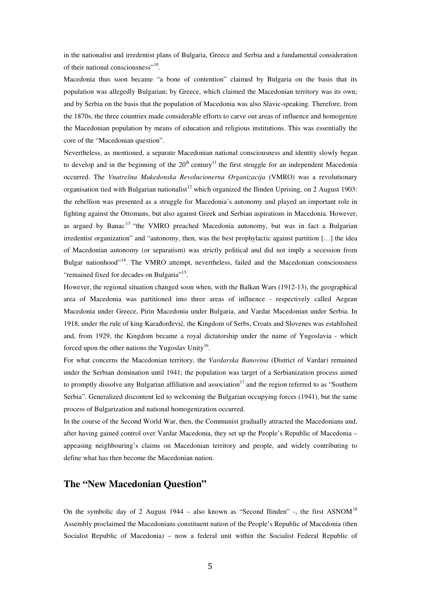in the nationalist and irredentist plans of Bulgaria, Greece and Serbia and a fundamental consideration of their national consciousness"<sup>10</sup>.

Macedonia thus soon became "a bone of contention" claimed by Bulgaria on the basis that its population was allegedly Bulgarian; by Greece, which claimed the Macedonian territory was its own; and by Serbia on the basis that the population of Macedonia was also Slavic-speaking. Therefore, from the 1870s, the three countries made considerable efforts to carve out areas of influence and homogenize the Macedonian population by means of education and religious institutions. This was essentially the core of the "Macedonian question".

Nevertheless, as mentioned, a separate Macedonian national consciousness and identity slowly began to develop and in the beginning of the  $20<sup>th</sup>$  century<sup>11</sup> the first struggle for an independent Macedonia occurred. The *Vnatrešna Makedonska Revolucionerna Organizacija* (VMRO) was a revolutionary organisation tied with Bulgarian nationalist<sup>12</sup> which organized the Ilinden Uprising, on 2 August 1903: the rebellion was presented as a struggle for Macedonia's autonomy and played an important role in fighting against the Ottomans, but also against Greek and Serbian aspirations in Macedonia. However, as argued by Banac <sup>13</sup> "the VMRO preached Macedonia autonomy, but was in fact a Bulgarian irredentist organization" and "autonomy, then, was the best prophylactic against partition […] the idea of Macedonian autonomy (or separatism) was strictly political and did not imply a secession from Bulgar nationhood"<sup>14</sup>. The VMRO attempt, nevertheless, failed and the Macedonian consciousness "remained fixed for decades on Bulgaria"<sup>15</sup>.

However, the regional situation changed soon when, with the Balkan Wars (1912-13), the geographical area of Macedonia was partitioned into three areas of influence - respectively called Aegean Macedonia under Greece, Pirin Macedonia under Bulgaria, and Vardar Macedonian under Serbia. In 1918, under the rule of king Karađorđević*,* the Kingdom of Serbs, Croats and Slovenes was established and, from 1929, the Kingdom became a royal dictatorship under the name of Yugoslavia - which forced upon the other nations the Yugoslav Unity<sup>16</sup>.

For what concerns the Macedonian territory, the *Vardarska Banovina* (District of Vardar) remained under the Serbian domination until 1941; the population was target of a Serbianization process aimed to promptly dissolve any Bulgarian affiliation and association<sup>17</sup> and the region referred to as "Southern" Serbia". Generalized discontent led to welcoming the Bulgarian occupying forces (1941), but the same process of Bulgarization and national homogenization occurred.

In the course of the Second World War, then, the Communist gradually attracted the Macedonians and, after having gained control over Vardar Macedonia, they set up the People's Republic of Macedonia – appeasing neighbouring's claims on Macedonian territory and people, and widely contributing to define what has then become the Macedonian nation.

#### **The "New Macedonian Question"**

On the symbolic day of 2 August 1944 – also known as "Second Ilinden" -, the first ASNOM<sup>18</sup> Assembly proclaimed the Macedonians constituent nation of the People's Republic of Macedonia (then Socialist Republic of Macedonia) – now a federal unit within the Socialist Federal Republic of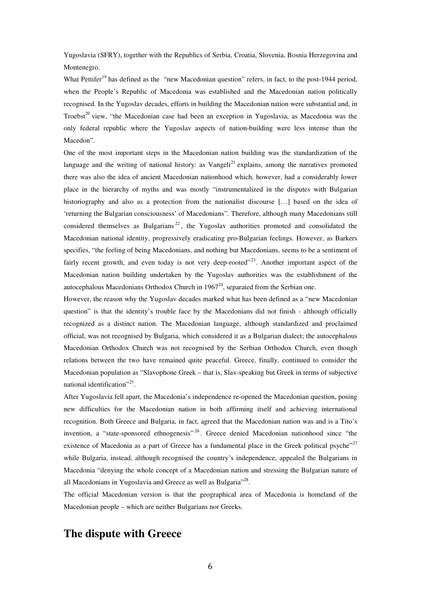Yugoslavia (SFRY), together with the Republics of Serbia, Croatia, Slovenia, Bosnia Herzegovina and Montenegro.

What Pettifer<sup>19</sup> has defined as the "new Macedonian question" refers, in fact, to the post-1944 period, when the People's Republic of Macedonia was established and the Macedonian nation politically recognised. In the Yugoslav decades, efforts in building the Macedonian nation were substantial and, in Troebst<sup>20</sup> view, "the Macedonian case had been an exception in Yugoslavia, as Macedonia was the only federal republic where the Yugoslav aspects of nation-building were less intense than the Macedon".

One of the most important steps in the Macedonian nation building was the standardization of the language and the writing of national history: as Vangeli<sup>21</sup> explains, among the narratives promoted there was also the idea of ancient Macedonian nationhood which, however, had a considerably lower place in the hierarchy of myths and was mostly "instrumentalized in the disputes with Bulgarian historiography and also as a protection from the nationalist discourse […] based on the idea of 'returning the Bulgarian consciousness' of Macedonians". Therefore, although many Macedonians still considered themselves as Bulgarians<sup>22</sup>, the Yugoslav authorities promoted and consolidated the Macedonian national identity, progressively eradicating pro-Bulgarian feelings. However, as Barkers specifies, "the feeling of being Macedonians, and nothing but Macedonians, seems to be a sentiment of fairly recent growth, and even today is not very deep-rooted"<sup>23</sup>. Another important aspect of the Macedonian nation building undertaken by the Yugoslav authorities was the establishment of the autocephalous Macedonians Orthodox Church in  $1967<sup>24</sup>$ , separated from the Serbian one.

However, the reason why the Yugoslav decades marked what has been defined as a "new Macedonian question" is that the identity's trouble face by the Macedonians did not finish - although officially recognized as a distinct nation. The Macedonian language, although standardized and proclaimed official, was not recognised by Bulgaria, which considered it as a Bulgarian dialect; the autocephalous Macedonian Orthodox Church was not recognised by the Serbian Orthodox Church, even though relations between the two have remained quite peaceful. Greece, finally, continued to consider the Macedonian population as "Slavophone Greek – that is, Slav-speaking but Greek in terms of subjective national identification"<sup>25</sup>.

After Yugoslavia fell apart, the Macedonia's independence re-opened the Macedonian question, posing new difficulties for the Macedonian nation in both affirming itself and achieving international recognition. Both Greece and Bulgaria, in fact, agreed that the Macedonian nation was and is a Tito's invention, a "state-sponsored ethnogenesis"<sup>26</sup>. Greece denied Macedonian nationhood since "the existence of Macedonia as a part of Greece has a fundamental place in the Greek political psyche"<sup>27</sup> while Bulgaria, instead, although recognised the country's independence, appealed the Bulgarians in Macedonia "denying the whole concept of a Macedonian nation and stressing the Bulgarian nature of all Macedonians in Yugoslavia and Greece as well as Bulgaria"<sup>28</sup>.

The official Macedonian version is that the geographical area of Macedonia is homeland of the Macedonian people – which are neither Bulgarians nor Greeks.

## **The dispute with Greece**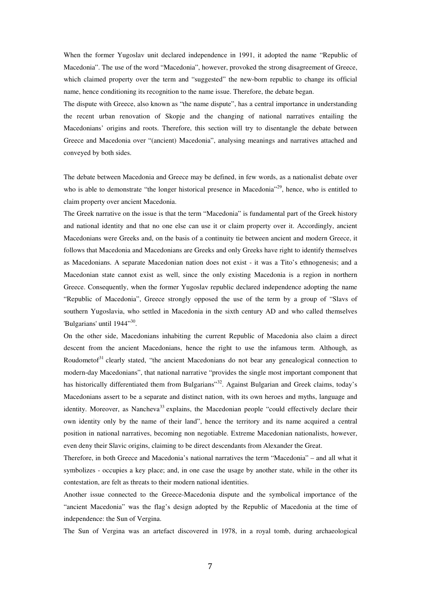When the former Yugoslav unit declared independence in 1991, it adopted the name "Republic of Macedonia". The use of the word "Macedonia", however, provoked the strong disagreement of Greece, which claimed property over the term and "suggested" the new-born republic to change its official name, hence conditioning its recognition to the name issue. Therefore, the debate began.

The dispute with Greece, also known as "the name dispute", has a central importance in understanding the recent urban renovation of Skopje and the changing of national narratives entailing the Macedonians' origins and roots. Therefore, this section will try to disentangle the debate between Greece and Macedonia over "(ancient) Macedonia", analysing meanings and narratives attached and conveyed by both sides.

The debate between Macedonia and Greece may be defined, in few words, as a nationalist debate over who is able to demonstrate "the longer historical presence in Macedonia"<sup>29</sup>, hence, who is entitled to claim property over ancient Macedonia.

The Greek narrative on the issue is that the term "Macedonia" is fundamental part of the Greek history and national identity and that no one else can use it or claim property over it. Accordingly, ancient Macedonians were Greeks and, on the basis of a continuity tie between ancient and modern Greece, it follows that Macedonia and Macedonians are Greeks and only Greeks have right to identify themselves as Macedonians. A separate Macedonian nation does not exist - it was a Tito's ethnogenesis; and a Macedonian state cannot exist as well, since the only existing Macedonia is a region in northern Greece. Consequently, when the former Yugoslav republic declared independence adopting the name "Republic of Macedonia", Greece strongly opposed the use of the term by a group of "Slavs of southern Yugoslavia, who settled in Macedonia in the sixth century AD and who called themselves 'Bulgarians' until 1944"<sup>30</sup>.

On the other side, Macedonians inhabiting the current Republic of Macedonia also claim a direct descent from the ancient Macedonians, hence the right to use the infamous term. Although, as Roudometof $31$  clearly stated, "the ancient Macedonians do not bear any genealogical connection to modern-day Macedonians", that national narrative "provides the single most important component that has historically differentiated them from Bulgarians"<sup>32</sup>. Against Bulgarian and Greek claims, today's Macedonians assert to be a separate and distinct nation, with its own heroes and myths, language and identity. Moreover, as Nancheva<sup>33</sup> explains, the Macedonian people "could effectively declare their own identity only by the name of their land", hence the territory and its name acquired a central position in national narratives, becoming non negotiable. Extreme Macedonian nationalists, however, even deny their Slavic origins, claiming to be direct descendants from Alexander the Great.

Therefore, in both Greece and Macedonia's national narratives the term "Macedonia" – and all what it symbolizes - occupies a key place; and, in one case the usage by another state, while in the other its contestation, are felt as threats to their modern national identities.

Another issue connected to the Greece-Macedonia dispute and the symbolical importance of the "ancient Macedonia" was the flag's design adopted by the Republic of Macedonia at the time of independence: the Sun of Vergina.

The Sun of Vergina was an artefact discovered in 1978, in a royal tomb, during archaeological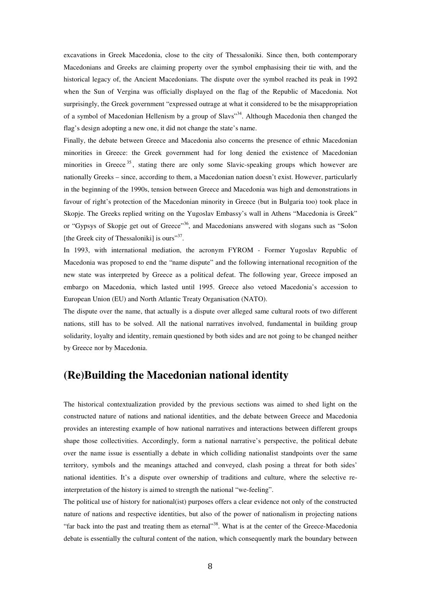excavations in Greek Macedonia, close to the city of Thessaloniki. Since then, both contemporary Macedonians and Greeks are claiming property over the symbol emphasising their tie with, and the historical legacy of, the Ancient Macedonians. The dispute over the symbol reached its peak in 1992 when the Sun of Vergina was officially displayed on the flag of the Republic of Macedonia. Not surprisingly, the Greek government "expressed outrage at what it considered to be the misappropriation of a symbol of Macedonian Hellenism by a group of Slavs"<sup>34</sup>. Although Macedonia then changed the flag's design adopting a new one, it did not change the state's name.

Finally, the debate between Greece and Macedonia also concerns the presence of ethnic Macedonian minorities in Greece: the Greek government had for long denied the existence of Macedonian minorities in Greece<sup>35</sup>, stating there are only some Slavic-speaking groups which however are nationally Greeks – since, according to them, a Macedonian nation doesn't exist. However, particularly in the beginning of the 1990s, tension between Greece and Macedonia was high and demonstrations in favour of right's protection of the Macedonian minority in Greece (but in Bulgaria too) took place in Skopje. The Greeks replied writing on the Yugoslav Embassy's wall in Athens "Macedonia is Greek" or "Gypsys of Skopje get out of Greece"<sup>36</sup>, and Macedonians answered with slogans such as "Solon [the Greek city of Thessaloniki] is ours"<sup>37</sup>.

In 1993, with international mediation, the acronym FYROM - Former Yugoslav Republic of Macedonia was proposed to end the "name dispute" and the following international recognition of the new state was interpreted by Greece as a political defeat. The following year, Greece imposed an embargo on Macedonia, which lasted until 1995. Greece also vetoed Macedonia's accession to European Union (EU) and North Atlantic Treaty Organisation (NATO).

The dispute over the name, that actually is a dispute over alleged same cultural roots of two different nations, still has to be solved. All the national narratives involved, fundamental in building group solidarity, loyalty and identity, remain questioned by both sides and are not going to be changed neither by Greece nor by Macedonia.

## **(Re)Building the Macedonian national identity**

The historical contextualization provided by the previous sections was aimed to shed light on the constructed nature of nations and national identities, and the debate between Greece and Macedonia provides an interesting example of how national narratives and interactions between different groups shape those collectivities. Accordingly, form a national narrative's perspective, the political debate over the name issue is essentially a debate in which colliding nationalist standpoints over the same territory, symbols and the meanings attached and conveyed, clash posing a threat for both sides' national identities. It's a dispute over ownership of traditions and culture, where the selective reinterpretation of the history is aimed to strength the national "we-feeling".

The political use of history for national(ist) purposes offers a clear evidence not only of the constructed nature of nations and respective identities, but also of the power of nationalism in projecting nations "far back into the past and treating them as eternal"<sup>38</sup>. What is at the center of the Greece-Macedonia debate is essentially the cultural content of the nation, which consequently mark the boundary between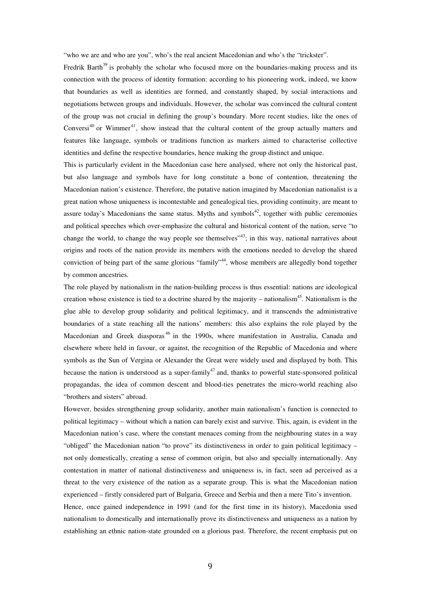"who we are and who are you", who's the real ancient Macedonian and who's the "trickster".

Fredrik Barth<sup>39</sup> is probably the scholar who focused more on the boundaries-making process and its connection with the process of identity formation: according to his pioneering work, indeed, we know that boundaries as well as identities are formed, and constantly shaped, by social interactions and negotiations between groups and individuals. However, the scholar was convinced the cultural content of the group was not crucial in defining the group's boundary. More recent studies, like the ones of Conversi<sup>40</sup> or Wimmer<sup>41</sup>, show instead that the cultural content of the group actually matters and features like language, symbols or traditions function as markers aimed to characterise collective identities and define the respective boundaries, hence making the group distinct and unique.

This is particularly evident in the Macedonian case here analysed, where not only the historical past, but also language and symbols have for long constitute a bone of contention, threatening the Macedonian nation's existence. Therefore, the putative nation imagined by Macedonian nationalist is a great nation whose uniqueness is incontestable and genealogical ties, providing continuity, are meant to assure today's Macedonians the same status. Myths and symbols<sup>42</sup>, together with public ceremonies and political speeches which over-emphasize the cultural and historical content of the nation, serve "to change the world, to change the way people see themselves<sup> $43$ </sup>; in this way, national narratives about origins and roots of the nation provide its members with the emotions needed to develop the shared conviction of being part of the same glorious "family"<sup>44</sup>, whose members are allegedly bond together by common ancestries.

The role played by nationalism in the nation-building process is thus essential: nations are ideological creation whose existence is tied to a doctrine shared by the majority – nationalism<sup>45</sup>. Nationalism is the glue able to develop group solidarity and political legitimacy, and it transcends the administrative boundaries of a state reaching all the nations' members: this also explains the role played by the Macedonian and Greek diasporas<sup>46</sup> in the 1990s, where manifestation in Australia, Canada and elsewhere where held in favour, or against, the recognition of the Republic of Macedonia and where symbols as the Sun of Vergina or Alexander the Great were widely used and displayed by both. This because the nation is understood as a super-family<sup>47</sup> and, thanks to powerful state-sponsored political propagandas, the idea of common descent and blood-ties penetrates the micro-world reaching also "brothers and sisters" abroad.

However, besides strengthening group solidarity, another main nationalism's function is connected to political legitimacy – without which a nation can barely exist and survive. This, again, is evident in the Macedonian nation's case, where the constant menaces coming from the neighbouring states in a way "obliged" the Macedonian nation "to prove" its distinctiveness in order to gain political legitimacy – not only domestically, creating a sense of common origin, but also and specially internationally. Any contestation in matter of national distinctiveness and uniqueness is, in fact, seen ad perceived as a threat to the very existence of the nation as a separate group. This is what the Macedonian nation experienced – firstly considered part of Bulgaria, Greece and Serbia and then a mere Tito's invention. Hence, once gained independence in 1991 (and for the first time in its history), Macedonia used

nationalism to domestically and internationally prove its distinctiveness and uniqueness as a nation by establishing an ethnic nation-state grounded on a glorious past. Therefore, the recent emphasis put on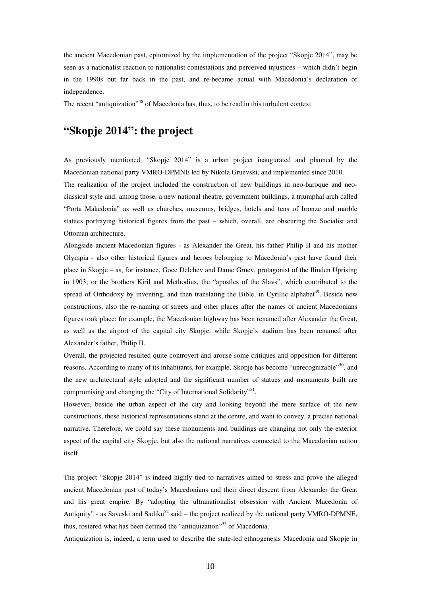the ancient Macedonian past, epitomized by the implementation of the project "Skopje 2014", may be seen as a nationalist reaction to nationalist contestations and perceived injustices – which didn't begin in the 1990s but far back in the past, and re-became actual with Macedonia's declaration of independence.

The recent "antiquization"<sup>48</sup> of Macedonia has, thus, to be read in this turbulent context.

# **"Skopje 2014": the project**

As previously mentioned, "Skopje 2014" is a urban project inaugurated and planned by the Macedonian national party VMRO-DPMNE led by Nikola Gruevski, and implemented since 2010.

The realization of the project included the construction of new buildings in neo-baroque and neoclassical style and, among those, a new national theatre, government buildings, a triumphal arch called "Porta Makedonia" as well as churches, museums, bridges, hotels and tens of bronze and marble statues portraying historical figures from the past – which, overall, are obscuring the Socialist and Ottoman architecture.

Alongside ancient Macedonian figures - as Alexander the Great, his father Philip II and his mother Olympia - also other historical figures and heroes belonging to Macedonia's past have found their place in Skopje – as, for instance, Goce Delchev and Dame Gruev, protagonist of the Ilinden Uprising in 1903; or the brothers Kiril and Methodius, the "apostles of the Slavs", which contributed to the spread of Orthodoxy by inventing, and then translating the Bible, in Cyrillic alphabet<sup>49</sup>. Beside new constructions, also the re-naming of streets and other places after the names of ancient Macedonians figures took place: for example, the Macedonian highway has been renamed after Alexander the Great, as well as the airport of the capital city Skopje, while Skopje's stadium has been renamed after Alexander's father, Philip II.

Overall, the projected resulted quite controvert and arouse some critiques and opposition for different reasons. According to many of its inhabitants, for example, Skopje has become "unrecognizable"<sup>50</sup>, and the new architectural style adopted and the significant number of statues and monuments built are compromising and changing the "City of International Solidarity"<sup>51</sup>.

However, beside the urban aspect of the city and looking beyond the mere surface of the new constructions, these historical representations stand at the centre, and want to convey, a precise national narrative. Therefore, we could say these monuments and buildings are changing not only the exterior aspect of the capital city Skopje, but also the national narratives connected to the Macedonian nation itself.

The project "Skopje 2014" is indeed highly tied to narratives aimed to stress and prove the alleged ancient Macedonian past of today's Macedonians and their direct descent from Alexander the Great and his great empire. By "adopting the ultranationalist obsession with Ancient Macedonia of Antiquity" - as Saveski and Sadiku<sup>52</sup> said – the project realized by the national party VMRO-DPMNE, thus, fostered what has been defined the "antiquization"<sup>53</sup> of Macedonia.

Antiquization is, indeed, a term used to describe the state-led ethnogenesis Macedonia and Skopje in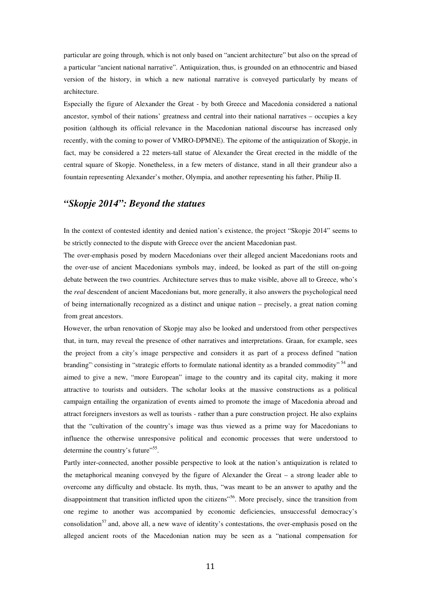particular are going through, which is not only based on "ancient architecture" but also on the spread of a particular "ancient national narrative". Antiquization, thus, is grounded on an ethnocentric and biased version of the history, in which a new national narrative is conveyed particularly by means of architecture.

Especially the figure of Alexander the Great - by both Greece and Macedonia considered a national ancestor, symbol of their nations' greatness and central into their national narratives – occupies a key position (although its official relevance in the Macedonian national discourse has increased only recently, with the coming to power of VMRO-DPMNE). The epitome of the antiquization of Skopje, in fact, may be considered a 22 meters-tall statue of Alexander the Great erected in the middle of the central square of Skopje. Nonetheless, in a few meters of distance, stand in all their grandeur also a fountain representing Alexander's mother, Olympia, and another representing his father, Philip II.

#### *"Skopje 2014": Beyond the statues*

In the context of contested identity and denied nation's existence, the project "Skopje 2014" seems to be strictly connected to the dispute with Greece over the ancient Macedonian past.

The over-emphasis posed by modern Macedonians over their alleged ancient Macedonians roots and the over-use of ancient Macedonians symbols may, indeed, be looked as part of the still on-going debate between the two countries. Architecture serves thus to make visible, above all to Greece, who's the *real* descendent of ancient Macedonians but, more generally, it also answers the psychological need of being internationally recognized as a distinct and unique nation – precisely, a great nation coming from great ancestors.

However, the urban renovation of Skopje may also be looked and understood from other perspectives that, in turn, may reveal the presence of other narratives and interpretations. Graan, for example, sees the project from a city's image perspective and considers it as part of a process defined "nation branding" consisting in "strategic efforts to formulate national identity as a branded commodity"<sup>54</sup> and aimed to give a new, "more European" image to the country and its capital city, making it more attractive to tourists and outsiders. The scholar looks at the massive constructions as a political campaign entailing the organization of events aimed to promote the image of Macedonia abroad and attract foreigners investors as well as tourists - rather than a pure construction project. He also explains that the "cultivation of the country's image was thus viewed as a prime way for Macedonians to influence the otherwise unresponsive political and economic processes that were understood to determine the country's future"<sup>55</sup>.

Partly inter-connected, another possible perspective to look at the nation's antiquization is related to the metaphorical meaning conveyed by the figure of Alexander the Great – a strong leader able to overcome any difficulty and obstacle. Its myth, thus, "was meant to be an answer to apathy and the disappointment that transition inflicted upon the citizens"<sup>56</sup>. More precisely, since the transition from one regime to another was accompanied by economic deficiencies, unsuccessful democracy's consolidation<sup>57</sup> and, above all, a new wave of identity's contestations, the over-emphasis posed on the alleged ancient roots of the Macedonian nation may be seen as a "national compensation for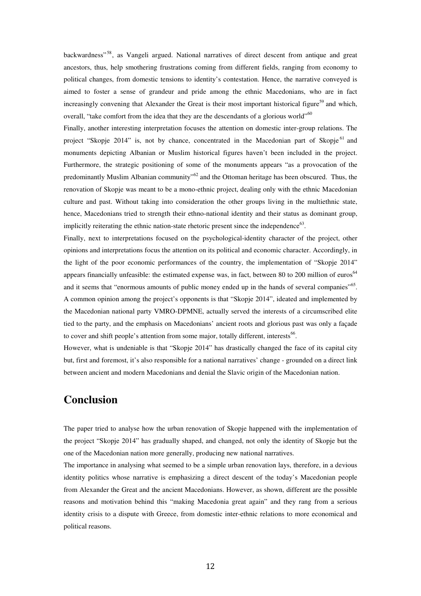backwardness"<sup>58</sup>, as Vangeli argued. National narratives of direct descent from antique and great ancestors, thus, help smothering frustrations coming from different fields, ranging from economy to political changes, from domestic tensions to identity's contestation. Hence, the narrative conveyed is aimed to foster a sense of grandeur and pride among the ethnic Macedonians, who are in fact increasingly convening that Alexander the Great is their most important historical figure<sup>59</sup> and which, overall, "take comfort from the idea that they are the descendants of a glorious world"<sup>60</sup>

Finally, another interesting interpretation focuses the attention on domestic inter-group relations. The project "Skopje 2014" is, not by chance, concentrated in the Macedonian part of Skopje<sup>61</sup> and monuments depicting Albanian or Muslim historical figures haven't been included in the project. Furthermore, the strategic positioning of some of the monuments appears "as a provocation of the predominantly Muslim Albanian community<sup>"62</sup> and the Ottoman heritage has been obscured. Thus, the renovation of Skopje was meant to be a mono-ethnic project, dealing only with the ethnic Macedonian culture and past. Without taking into consideration the other groups living in the multiethnic state, hence, Macedonians tried to strength their ethno-national identity and their status as dominant group, implicitly reiterating the ethnic nation-state rhetoric present since the independence $^{63}$ .

Finally, next to interpretations focused on the psychological-identity character of the project, other opinions and interpretations focus the attention on its political and economic character. Accordingly, in the light of the poor economic performances of the country, the implementation of "Skopje 2014" appears financially unfeasible: the estimated expense was, in fact, between 80 to 200 million of euros<sup>64</sup> and it seems that "enormous amounts of public money ended up in the hands of several companies"<sup>65</sup>. A common opinion among the project's opponents is that "Skopje 2014", ideated and implemented by the Macedonian national party VMRO-DPMNE, actually served the interests of a circumscribed elite tied to the party, and the emphasis on Macedonians' ancient roots and glorious past was only a façade to cover and shift people's attention from some major, totally different, interests<sup>66</sup>.

However, what is undeniable is that "Skopje 2014" has drastically changed the face of its capital city but, first and foremost, it's also responsible for a national narratives' change - grounded on a direct link between ancient and modern Macedonians and denial the Slavic origin of the Macedonian nation.

## **Conclusion**

The paper tried to analyse how the urban renovation of Skopje happened with the implementation of the project "Skopje 2014" has gradually shaped, and changed, not only the identity of Skopje but the one of the Macedonian nation more generally, producing new national narratives.

The importance in analysing what seemed to be a simple urban renovation lays, therefore, in a devious identity politics whose narrative is emphasizing a direct descent of the today's Macedonian people from Alexander the Great and the ancient Macedonians. However, as shown, different are the possible reasons and motivation behind this "making Macedonia great again" and they rang from a serious identity crisis to a dispute with Greece, from domestic inter-ethnic relations to more economical and political reasons.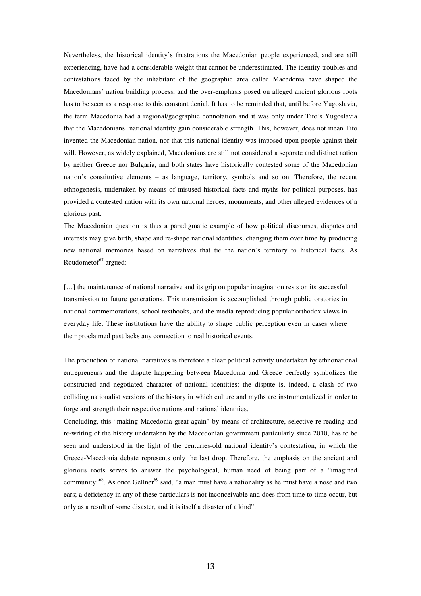Nevertheless, the historical identity's frustrations the Macedonian people experienced, and are still experiencing, have had a considerable weight that cannot be underestimated. The identity troubles and contestations faced by the inhabitant of the geographic area called Macedonia have shaped the Macedonians' nation building process, and the over-emphasis posed on alleged ancient glorious roots has to be seen as a response to this constant denial. It has to be reminded that, until before Yugoslavia, the term Macedonia had a regional/geographic connotation and it was only under Tito's Yugoslavia that the Macedonians' national identity gain considerable strength. This, however, does not mean Tito invented the Macedonian nation, nor that this national identity was imposed upon people against their will. However, as widely explained, Macedonians are still not considered a separate and distinct nation by neither Greece nor Bulgaria, and both states have historically contested some of the Macedonian nation's constitutive elements – as language, territory, symbols and so on. Therefore, the recent ethnogenesis, undertaken by means of misused historical facts and myths for political purposes, has provided a contested nation with its own national heroes, monuments, and other alleged evidences of a glorious past.

The Macedonian question is thus a paradigmatic example of how political discourses, disputes and interests may give birth, shape and re-shape national identities, changing them over time by producing new national memories based on narratives that tie the nation's territory to historical facts. As Roudometof<sup>67</sup> argued:

[...] the maintenance of national narrative and its grip on popular imagination rests on its successful transmission to future generations. This transmission is accomplished through public oratories in national commemorations, school textbooks, and the media reproducing popular orthodox views in everyday life. These institutions have the ability to shape public perception even in cases where their proclaimed past lacks any connection to real historical events.

The production of national narratives is therefore a clear political activity undertaken by ethnonational entrepreneurs and the dispute happening between Macedonia and Greece perfectly symbolizes the constructed and negotiated character of national identities: the dispute is, indeed, a clash of two colliding nationalist versions of the history in which culture and myths are instrumentalized in order to forge and strength their respective nations and national identities.

Concluding, this "making Macedonia great again" by means of architecture, selective re-reading and re-writing of the history undertaken by the Macedonian government particularly since 2010, has to be seen and understood in the light of the centuries-old national identity's contestation, in which the Greece-Macedonia debate represents only the last drop. Therefore, the emphasis on the ancient and glorious roots serves to answer the psychological, human need of being part of a "imagined community"<sup>68</sup>. As once Gellner<sup>69</sup> said, "a man must have a nationality as he must have a nose and two ears; a deficiency in any of these particulars is not inconceivable and does from time to time occur, but only as a result of some disaster, and it is itself a disaster of a kind".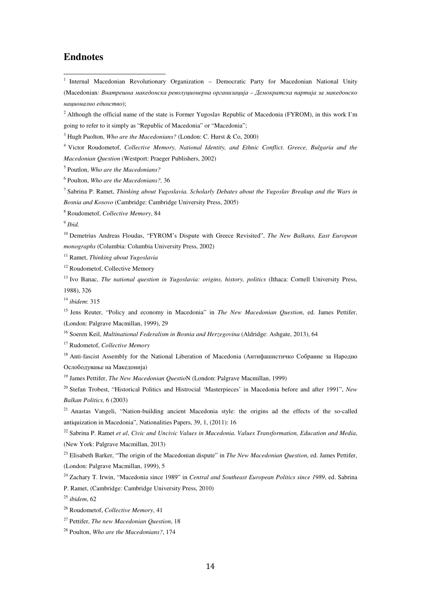### **Endnotes**

 $\overline{a}$ 

<sup>1</sup> Internal Macedonian Revolutionary Organization - Democratic Party for Macedonian National Unity (Macedonian*: Внатрешна македонска револуционерна организација – Демократска партија за македонско национално единство*);

<sup>2</sup> Although the official name of the state is Former Yugoslav Republic of Macedonia (FYROM), in this work I'm going to refer to it simply as "Republic of Macedonia" or "Macedonia";

3 Hugh Puolton, *Who are the Macedonians?* (London: C. Hurst & Co, 2000)

4 Victor Roudometof, *Collective Memory, National Identity, and Ethnic Conflict. Greece, Bulgaria and the Macedonian Question* (Westport: Praeger Publishers, 2002)

5 Poutlon, *Who are the Macedonians?*

6 Poulton, *Who are the Macedonians?,* 36

7 Sabrina P. Ramet, *Thinking about Yugoslavia. Scholarly Debates about the Yugoslav Breakup and the Wars in Bosnia and Kosovo* (Cambridge: Cambridge University Press, 2005)

8 Roudometof, *Collective Memory*, 84

9 *Ibid.*

<sup>10</sup> Demetrius Andreas Floudas, "FYROM's Dispute with Greece Revisited", *The New Balkans, East European monographs* (Columbia: Columbia University Press, 2002)

<sup>11</sup> Ramet, *Thinking about Yugoslavia*

<sup>12</sup> Roudometof, Collective Memory

<sup>13</sup> Ivo Banac, *The national question in Yugoslavia: origins, history, politics* (Ithaca: Cornell University Press, 1988), 326

<sup>14</sup> *ibidem*: 315

<sup>15</sup> Jens Reuter, "Policy and economy in Macedonia" in *The New Macedonian Question*, ed. James Pettifer, (London: Palgrave Macmillan, 1999), 29

<sup>16</sup> Soeren Keil, *Multinational Federalism in Bosnia and Herzegovina* (Aldridge: Ashgate, 2013), 64

<sup>17</sup> Rudometof, *Collective Memory*

<sup>18</sup> Anti-fascist Assembly for the National Liberation of Macedonia (Антифашистичко Собрание за Народно Ослободување на Македонија)

<sup>19</sup> James Pettifer, *The New Macedonian Questio*N (London: Palgrave Macmillan, 1999)

<sup>20</sup> Stefan Trobest, "Historical Politics and Histrocial 'Masterpieces' in Macedonia before and after 1991", *New Balkan Politics,* 6 (2003)

<sup>21</sup> Anastas Vangeli, "Nation-building ancient Macedonia style: the origins ad the effects of the so-called antiquization in Macedonia", Nationalities Papers, 39, 1, (2011): 16

<sup>22</sup> Sabrina P. Ramet *et al*, *Civic and Uncivic Values in Macedonia. Values Transformation, Education and Media*, (New York: Palgrave Macmillan, 2013)

<sup>23</sup> Elisabeth Barker, "The origin of the Macedonian dispute" in *The New Macedonian Question*, ed. James Pettifer, (London: Palgrave Macmillan, 1999), 5

<sup>24</sup> Zachary T. Irwin, "Macedonia since 1989" in *Central and Southeast European Politics since 1989*, ed. Sabrina

P. Ramet, (Cambridge: Cambridge University Press, 2010)

<sup>25</sup> *ibidem*, 62

<sup>26</sup> Roudometof, *Collective Memory*, 41

<sup>27</sup> Pettifer, *The new Macedonian Question*, 18

<sup>28</sup> Poulton, *Who are the Macedonians?*, 174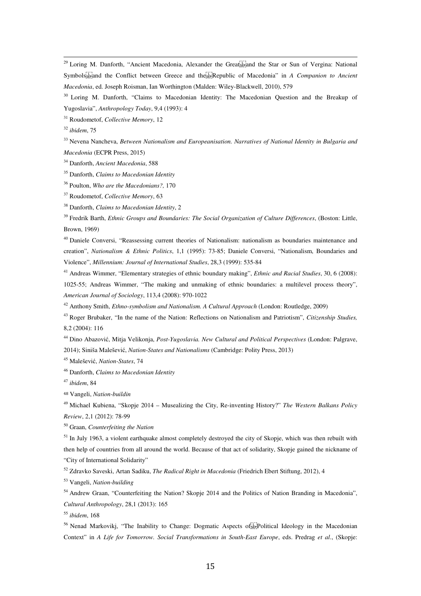<sup>29</sup> Loring M. Danforth, "Ancient Macedonia, Alexander the Greatspand the Star or Sun of Vergina: National Symbols<sup>[17]</sup><sub>Step</sub>'and the Conflict between Greece and the<sup>[17]</sup><sub>Sep</sub>Republic of Macedonia" in *A Companion to Ancient Macedonia*, ed. Joseph Roisman, Ian Worthington (Malden: Wiley-Blackwell, 2010), 579

<sup>30</sup> Loring M. Danforth, "Claims to Macedonian Identity: The Macedonian Question and the Breakup of Yugoslavia", *Anthropology Today*, 9,4 (1993): 4

<sup>31</sup> Roudometof, *Collective Memory*, 12

<sup>32</sup> *ibidem*, 75

 $\overline{a}$ 

<sup>33</sup> Nevena Nancheva, *Between Nationalism and Europeanisation. Narratives of National Identity in Bulgaria and Macedonia* (ECPR Press, 2015)

<sup>34</sup> Danforth, *Ancient Macedonia*, 588

<sup>36</sup> Poulton, *Who are the Macedonians?,* 170

<sup>37</sup> Roudometof, *Collective Memory*, 63

<sup>38</sup> Danforth, *Claims to Macedonian Identity*, 2

<sup>39</sup> Fredrik Barth, *Ethnic Groups and Boundaries: The Social Organization of Culture Differences*, (Boston: Little, Brown, 1969)

<sup>40</sup> Daniele Conversi, "Reassessing current theories of Nationalism: nationalism as boundaries maintenance and creation", *Nationalism & Ethnic Politics*, 1,1 (1995): 73-85; Daniele Conversi, "Nationalism, Boundaries and Violence", *Millennium: Journal of International Studies*, 28,3 (1999): 535-84

<sup>41</sup> Andreas Wimmer, "Elementary strategies of ethnic boundary making", *Ethnic and Racial Studies*, 30, 6 (2008): 1025-55; Andreas Wimmer, "The making and unmaking of ethnic boundaries: a multilevel process theory", *American Journal of Sociology*, 113,4 (2008): 970-1022

<sup>42</sup> Anthony Smith, *Ethno-symbolism and Nationalism. A Cultural Approach* (London: Routledge, 2009)

<sup>43</sup> Roger Brubaker, "In the name of the Nation: Reflections on Nationalism and Patriotism", *Citizenship Studies,*  8,2 (2004): 116

<sup>44</sup> Dino Abazović, Mitja Velikonja, *Post-Yugoslavia. New Cultural and Political Perspectives* (London: Palgrave, 2014); Siniša Malešević, *Nation-States and Nationalisms* (Cambridge: Polity Press, 2013)

<sup>45</sup> Malešević, *Nation-States*, 74

<sup>46</sup> Danforth, *Claims to Macedonian Identity*

<sup>47</sup> *ibidem*, 84

<sup>48</sup> Vangeli, *Nation-buildin*

<sup>49</sup> Michael Kubiena, "Skopje 2014 – Musealizing the City, Re-inventing History?" *The Western Balkans Policy Review*, 2,1 (2012): 78-99

<sup>50</sup> Graan, *Counterfeiting the Nation*

 $51$  In July 1963, a violent earthquake almost completely destroyed the city of Skopje, which was then rebuilt with then help of countries from all around the world. Because of that act of solidarity, Skopje gained the nickname of "City of International Solidarity"

<sup>52</sup> Zdravko Saveski, Artan Sadiku, *The Radical Right in Macedonia* (Friedrich Ebert Stiftung, 2012), 4

<sup>53</sup> Vangeli, *Nation-building* 

<sup>54</sup> Andrew Graan, "Counterfeiting the Nation? Skopie 2014 and the Politics of Nation Branding in Macedonia", *Cultural Anthropology*, 28,1 (2013): 165

<sup>55</sup> *ibidem*, 168

<sup>56</sup> Nenad Markoviki, "The Inability to Change: Dogmatic Aspects of Figure 1 deploy in the Macedonian Context" in *A Life for Tomorrow. Social Transformations in South-East Europe*, eds. Predrag *et al*., (Skopje:

<sup>35</sup> Danforth, *Claims to Macedonian Identity*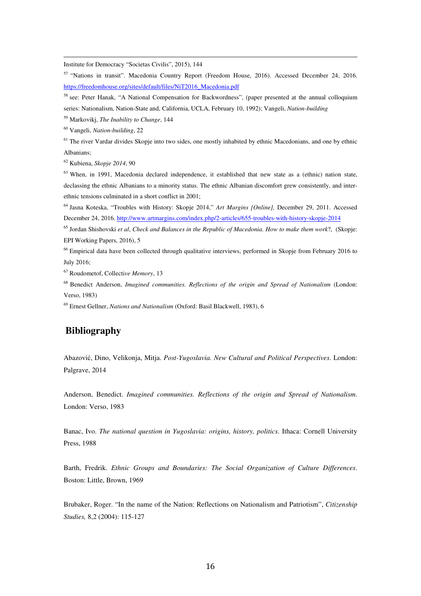Institute for Democracy "Societas Civilis", 2015), 144

<sup>57</sup> "Nations in transit". Macedonia Country Report (Freedom House, 2016). Accessed December 24, 2016. https://freedomhouse.org/sites/default/files/NiT2016\_Macedonia.pdf

<sup>58</sup> see: Peter Hanak, "A National Compensation for Backwordness", (paper presented at the annual colloquium series: Nationalism, Nation-State and, California, UCLA, February 10, 1992); Vangeli, *Nation-building*

<sup>59</sup> Markovikj, *The Inability to Change*, 144

<sup>60</sup> Vangeli, *Nation-building*, 22

 $\overline{a}$ 

 $<sup>61</sup>$  The river Vardar divides Skopje into two sides, one mostly inhabited by ethnic Macedonians, and one by ethnic</sup> Albanians;

<sup>62</sup> Kubiena, *Skopje 2014*, 90

<sup>63</sup> When, in 1991, Macedonia declared independence, it established that new state as a (ethnic) nation state, declassing the ethnic Albanians to a minority status. The ethnic Albanian discomfort grew consistently, and interethnic tensions culminated in a short conflict in 2001;

<sup>64</sup> Jasna Koteska, "Troubles with History: Skopje 2014," *Art Margins [Online],* December 29, 2011. Accessed December 24, 2016. http://www.artmargins.com/index.php/2-articles/655-troubles-with-history-skopje-2014

<sup>65</sup> Jordan Shishovski *et al*, *Check and Balances in the Republic of Macedonia. How to make them work*?, (Skopje: EPI Working Papers, 2016), 5

<sup>66</sup> Empirical data have been collected through qualitative interviews, performed in Skopje from February 2016 to July 2016;

<sup>67</sup> Roudometof, Collecti*ve Memory*, 13

<sup>68</sup> Benedict Anderson, *Imagined communities. Reflections of the origin and Spread of Nationalism* (London: Verso, 1983)

<sup>69</sup> Ernest Gellner, *Nations and Nationalism* (Oxford: Basil Blackwell, 1983), 6

## **Bibliography**

Abazović, Dino, Velikonja, Mitja. *Post-Yugoslavia. New Cultural and Political Perspectives*. London: Palgrave, 2014

Anderson, Benedict. *Imagined communities. Reflections of the origin and Spread of Nationalism*. London: Verso, 1983

Banac, Ivo. *The national question in Yugoslavia: origins, history, politics*. Ithaca: Cornell University Press, 1988

Barth, Fredrik. *Ethnic Groups and Boundaries: The Social Organization of Culture Differences*. Boston: Little, Brown, 1969

Brubaker, Roger. "In the name of the Nation: Reflections on Nationalism and Patriotism", *Citizenship Studies,* 8,2 (2004): 115-127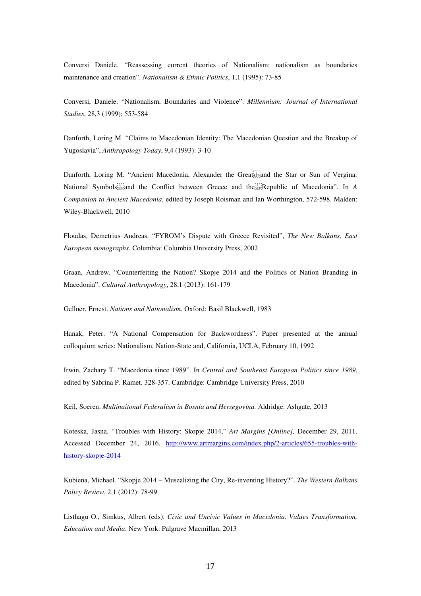Conversi Daniele. "Reassessing current theories of Nationalism: nationalism as boundaries maintenance and creation". *Nationalism & Ethnic Politics*, 1,1 (1995): 73-85

 $\overline{a}$ 

Conversi, Daniele. "Nationalism, Boundaries and Violence". *Millennium: Journal of International Studies*, 28,3 (1999): 553-584

Danforth, Loring M. "Claims to Macedonian Identity: The Macedonian Question and the Breakup of Yugoslavia", *Anthropology Today*, 9,4 (1993): 3-10

Danforth, Loring M. "Ancient Macedonia, Alexander the Great<sup>1</sup><sub>sep</sub>and the Star or Sun of Vergina: National Symbols<sup>[11]</sup><sub>Sepand</sub> the Conflict between Greece and the Republic of Macedonia". In *A Companion to Ancient Macedonia*, edited by Joseph Roisman and Ian Worthington, 572-598. Malden: Wiley-Blackwell, 2010

Floudas, Demetrius Andreas. "FYROM's Dispute with Greece Revisited", *The New Balkans, East European monographs*. Columbia: Columbia University Press, 2002

Graan, Andrew. "Counterfeiting the Nation? Skopje 2014 and the Politics of Nation Branding in Macedonia". *Cultural Anthropology*, 28,1 (2013): 161-179

Gellner, Ernest. *Nations and Nationalism*. Oxford: Basil Blackwell, 1983

Hanak, Peter. "A National Compensation for Backwordness". Paper presented at the annual colloquium series: Nationalism, Nation-State and, California, UCLA, February 10, 1992

Irwin, Zachary T. "Macedonia since 1989". In *Central and Southeast European Politics since 1989*, edited by Sabrina P. Ramet. 328-357. Cambridge: Cambridge University Press, 2010

Keil, Soeren. *Multinaitonal Federalism in Bosnia and Herzegovina.* Aldridge: Ashgate, 2013

Koteska, Jasna. "Troubles with History: Skopje 2014," *Art Margins [Online],* December 29, 2011. Accessed December 24, 2016. http://www.artmargins.com/index.php/2-articles/655-troubles-withhistory-skopje-2014

Kubiena, Michael. "Skopje 2014 – Musealizing the City, Re-inventing History?". *The Western Balkans Policy Review*, 2,1 (2012): 78-99

Listhagu O., Simkus, Albert (eds). *Civic and Uncivic Values in Macedonia. Values Transformation, Education and Media*. New York: Palgrave Macmillan, 2013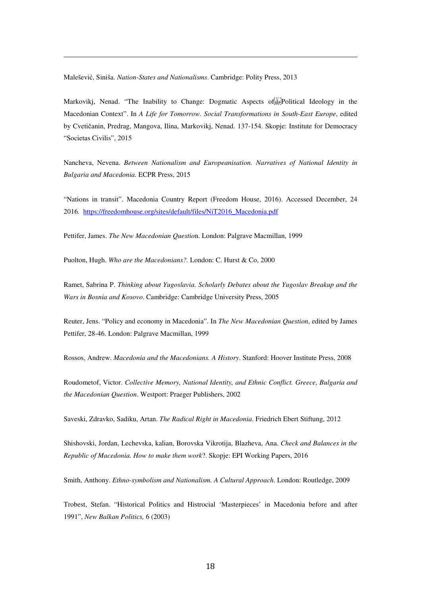Malešević, Siniša. *Nation-States and Nationalisms*. Cambridge: Polity Press, 2013

 $\overline{a}$ 

Markovikj, Nenad. "The Inability to Change: Dogmatic Aspects of Fight Political Ideology in the Macedonian Context". In *A Life for Tomorrow. Social Transformations in South-East Europe*, edited by Cvetičanin, Predrag, Mangova, Ilina, Markovikj, Nenad. 137-154. Skopje: Institute for Democracy "Societas Civilis", 2015

Nancheva, Nevena. *Between Nationalism and Europeanisation. Narratives of National Identity in Bulgaria and Macedonia.* ECPR Press, 2015

"Nations in transit". Macedonia Country Report (Freedom House, 2016). Accessed December, 24 2016. https://freedomhouse.org/sites/default/files/NiT2016\_Macedonia.pdf

Pettifer, James. *The New Macedonian Questio*n. London: Palgrave Macmillan, 1999

Puolton, Hugh. *Who are the Macedonians?.* London: C. Hurst & Co, 2000

Ramet, Sabrina P. *Thinking about Yugoslavia. Scholarly Debates about the Yugoslav Breakup and the Wars in Bosnia and Kosovo*. Cambridge: Cambridge University Press, 2005

Reuter, Jens. "Policy and economy in Macedonia". In *The New Macedonian Question*, edited by James Pettifer, 28-46. London: Palgrave Macmillan, 1999

Rossos, Andrew. *Macedonia and the Macedonians. A History*. Stanford: Hoover Institute Press, 2008

Roudometof, Victor. *Collective Memory, National Identity, and Ethnic Conflict. Greece, Bulgaria and the Macedonian Question*. Westport: Praeger Publishers, 2002

Saveski, Zdravko, Sadiku, Artan. *The Radical Right in Macedonia*. Friedrich Ebert Stiftung, 2012

Shishovski, Jordan, Lechevska, kalian, Borovska Vikrotija, Blazheva, Ana. *Check and Balances in the Republic of Macedonia. How to make them work*?. Skopje: EPI Working Papers, 2016

Smith, Anthony. *Ethno-symbolism and Nationalism. A Cultural Approach*. London: Routledge, 2009

Trobest, Stefan. "Historical Politics and Histrocial 'Masterpieces' in Macedonia before and after 1991", *New Balkan Politics,* 6 (2003)